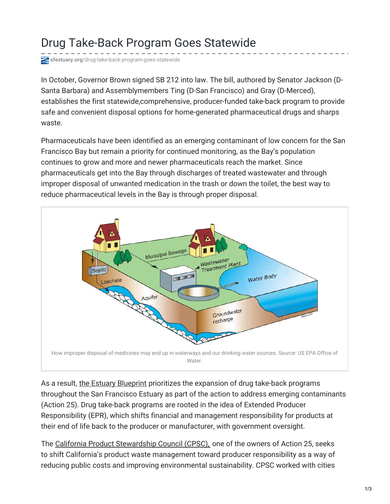## Drug Take-Back Program Goes Statewide

**sfestuary.org**[/drug-take-back-program-goes-statewide](http://www.sfestuary.org/drug-take-back-program-goes-statewide/)

In October, Governor Brown signed SB 212 into law. The bill, authored by Senator Jackson (D-Santa Barbara) and Assemblymembers Ting (D-San Francisco) and Gray (D-Merced), establishes the first statewide,comprehensive, producer-funded take-back program to provide safe and convenient disposal options for home-generated pharmaceutical drugs and sharps waste.

Pharmaceuticals have been identified as an emerging contaminant of low concern for the San Francisco Bay but remain a priority for continued monitoring, as the Bay's population continues to grow and more and newer pharmaceuticals reach the market. Since pharmaceuticals get into the Bay through discharges of treated wastewater and through improper disposal of unwanted medication in the trash or down the toilet, the best way to reduce pharmaceutical levels in the Bay is through proper disposal.



As a result, the Estuary [Blueprint](http://www.sfestuary.org/ccmp) prioritizes the expansion of drug take-back programs throughout the San Francisco Estuary as part of the action to address emerging contaminants (Action 25). Drug take-back programs are rooted in the idea of Extended Producer Responsibility (EPR), which shifts financial and management responsibility for products at their end of life back to the producer or manufacturer, with government oversight.

The California Product [Stewardship](http://www.calpsc.org/) Council (CPSC), one of the owners of Action 25, seeks to shift California's product waste management toward producer responsibility as a way of reducing public costs and improving environmental sustainability. CPSC worked with cities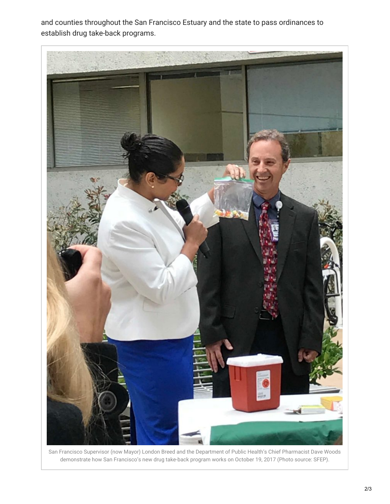and counties throughout the San Francisco Estuary and the state to pass ordinances to establish drug take-back programs.



San Francisco Supervisor (now Mayor) London Breed and the Department of Public Health's Chief Pharmacist Dave Woods demonstrate how San Francisco's new drug take-back program works on October 19, 2017 (Photo source: SFEP).